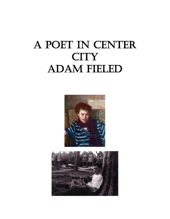# A POET IN CENTER **CITY** Adam Fieled



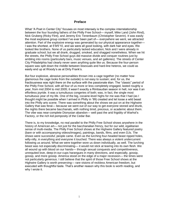### **Preface**

What "A Poet in Center City" focuses on most intensely is the complex interrelationship between the four founding fathers of the Philly Free School— myself, Mike Land (John Rind), Nick Gruberg (Ricky Flint), and Jeremy Eric Tenenbaum (Christopher Severin). It was easily the most explosive group context I've ever been part of— everywhere we went, we attracted attention. Part of the explosive energy was generated by our physical appearance together— I was the shortest, at 5'9/5'10, and we were all good looking, with dark hair and eyes. We looked like brothers. None of us particularly lacked education; Nick and I were already in graduate school; but we all drank, drugged, smoked, and shagged nonetheless. When we hit the streets, the Philly Free School guys did massive divide and conquer routines just by ambling into rooms (particularly bars, music venues, and art galleries). The streets of Center City Philadelphia had clearly never seen anything quite like us. Because the four-person square was split down the middle between bisexuals and hard-line heteros, we could as easily end up at Woody's as at Dirty Frank's.

But four explosive, abrasive personalities thrown into a cage together (no matter how glamorous the cage looks from the outside) is not easy to sustain; and, for us, the fractiousness was right there on the surface with the passionate élan. The "classic" period of the Philly Free School, with all four of us more or less completely engaged, lasted roughly a year, from mid 2004 to mid 2005; it wasn't exactly a Rimbaudian season in hell, nor was it an effortless joyride. It was a tumultuous congeries of both; was, in fact, the single most tumultuous year of my life. One of the big, cocaine-level highs for me was that I had (as I thought might be possible when I arrived in Philly in '99) created and let loose a wild beast into the Philly arts scene. There was something about the shows we put on at the Highwire Gallery that was feral— because we went out of our way to get everyone stoned and drunk, the nights there became bacchanals, with nothing timid, precious, or academic about them. The vibe was near-complete Dionysian abandon— well past the arid frigidity of Warhol's Factory, or the rich kid pomposity of the Cedar Bar.

There is, to my knowledge, no real parallel to the Philly Free School shows anywhere in the history of American art— not just for the bacchanalian frenzy, but for our wild, egalitarian sense of multi-media. The Philly Free School shows at the Highwire Gallery featured poetry (bare or with accompanying videos/images), paintings, bands, films, and even DJs. The shows were successful; people came. Even as the lurching four-headed beast ripped holes, willy-nilly, in everything and everyone it touched. There was always a violent undercurrent following us around. What we were together wore us down individually, as well. The lurching beast was not especially discriminating— it would not stick at tearing into its own flesh. We all wound up with blood on our hands— through sexual conquests and competitiveness, unrequited love, deep-in-our-cups harangues in many directions, and especially, gossip, gossip, and more gossip. America stood on the edge of a major recession— the times were not particularly generous. I still believe that the spirit of those Free School shows at the Highwire Gallery is worth preserving— rare visions of reckless American freedom, but executed with thoughtful taste. That's another reason why this book is worth reading, and why I wrote it.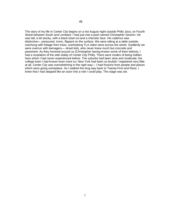The story of my life in Center City begins on a hot August night outside Philly Java, on Fourth Street between South and Lombard. I had just met a poet named Christopher Severin. He was tall, a bit stocky, with a black bowl cut and a cherubic face. His cadence was distinctive— pressured, ironic, flippant on the surface. We were sitting at a table outside, overhung with foliage from trees, overlooking TLA video store across the street. Suddenly we were overrun with teenagers— street kids, who never knew much but concrete and pavement. As they hovered around us (Christopher having known some of them before), I had a revelation of the wild vitality of Center City Philly. There were modes of being hidden here which I had never experienced before. The suburbs had been slow and moderate; the college town I had known even more so; New York had been so brutish I registered very little at all. Center City was overwhelming in the right way— I had frissons from people and places which were going someplace. As I walked the long way back to Twenty-First and Race, I knew that I had stepped like an actor into a role I could play. The stage was set.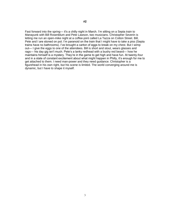Fast forward into the spring— it's a chilly night in March. I'm sitting on a Septa train to Manayunk with Bill Rosenblum and Pete Lawson, two musicians. Christopher Severin is letting me run an open-mike night at a coffee-joint called La Tazza on Cotton Street. Bill, Pete and I are stoned on pot. I'm paranoid on the train that I might have to take a piss (Septa trains have no bathrooms). I've brought a carton of eggs to break on my chest. But I wimp out— I give the eggs to one of the attendees. Bill is short and stout, wears glasses and rags— his day gig isn't much. Pete's a lanky redhead with a bushy red beard— how he maintains himself is a mystery. They're in the game to get high and have fun. At twenty-four and in a state of constant excitement about what might happen in Philly, it's enough for me to get attached to them. I need man-power and they need guidance. Christopher is a figurehead in his own right, but his scene is limited. The world converging around me is dynamic, but I have to shape it myself.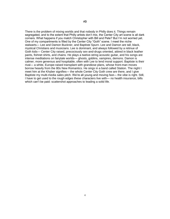There is the problem of mixing worlds and that nobody in Philly does it. Things remain segregated, and to the extent that Philly artists don't mix, the Center City art scene is all dark corners. What happens if you match Christopher with Bill and Pete? But I'm not worried yet. One of my compartments is filled by the Center City "Goth" scene. I meet the niche stalwarts— Lee and Damon Buckner, and Baptiste Spurn. Lee and Damon are tall, black, mystical Christians and musicians. Lee is dominant, and always followed by a retinue of Goth kids— Center City raised, precociously sex-and-drugs oriented, attired in black leather pants, fishnet shirts, and chains. He plays a twelve-string acoustic guitar, and his songs are intense meditations on fairytale worlds— ghosts, goblins, vampires, demons. Damon is calmer, more generous and hospitable, often with Lee to lend moral support. Baptiste is their rival— a white, Europe-raised transplant with grandiose plans, whose front-man moves borrow heavily from the 80s New Romantics. He sings in a band called Station. The night I meet him at the Khyber signifies— the whole Center City Goth crew are there, and I give Baptiste my multi-media sales pitch. We're all young and moving fast— the vibe is right. Still, I have to get used to the rough edges these characters live with— no health insurance, bills which can't be paid: scattershot approaches to leading a solid life.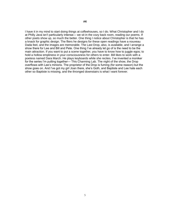I have it in my mind to start doing things at coffeehouses, so I do. What Christopher and I do at Philly Java isn't particularly intense— we sit in the cozy back room, reading our poems. If other poets show up, so much the better. One thing I notice about Christopher is that he has a knack for graphic design. The fliers he designs for these open readings have a nouveau Dada feel, and the images are memorable. The Last Drop, also, is available, and I arrange a show there for Lee and Bill and Pete. One thing I've already let go of is the need to be the main attraction. If you want to put a scene together, you have to know how to juggle egos; to hold a hollow emptiness in your consciousness for others to enter. Bill likes to work with a poetess named Dara March. He plays keyboards while she recites. I've invented a moniker for the series I'm putting together— This Charming Lab. The night of the show, the Drop overflows with Lee's minions. The proprietor of the Drop is fuming (for some reason) but the

show goes on. And I've got my girl Joan there, she's Goth, and Baptiste and Lee hate each

other so Baptiste is missing, and the thronged downstairs is what I want forever.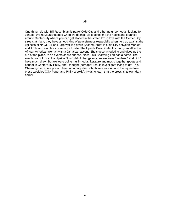One thing I do with Bill Rosenblum is patrol Olde City and other neighborhoods, looking for venues. We're usually stoned when we do this; Bill teaches me the nooks and crannies around Center City where you can get stoned in the street. I'm in love with the Center City streets at night; they have an odd kind of peacefulness (especially when held up against the ugliness of NYC). Bill and I are walking down Second Street in Olde City between Market and Arch, and stumble across a joint called the Upside Down Café. It's run by an attractive African-American woman with a Jamaican accent. She's accommodating and gives us the run of the place, to do events as we choose. Now, This Charming Lab has a home. The events we put on at the Upside Down didn't change much— we were "newbies," and didn't have much draw. But we were doing multi-media, literature and music together (poets and bands) in Center City Philly, and I thought (perhaps) I could investigate trying to get This Charming Lab some press. I lived on a daily diet of both serious stuff and the jejune freepress weeklies (City Paper and Philly Weekly). I was to learn that the press is its own dark corner.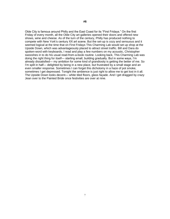Olde City is famous around Philly and the East Coast for its "First Fridays." On the first Friday of every month, all the Olde City art galleries opened their doors and offered new shows, wine and cheese. As of the turn of the century, Philly has produced nothing to compete with New York's century XX art scene. But the set-up is cozy and sensuous and it seemed logical at the time that on First Fridays This Charming Lab would set up shop at the Upside Down, which was advantageously placed to attract street traffic. Bill and Dara do spoken-word with keyboards, I read and play a few numbers on my acoustic, Christopher swooshes in to do his usual read-from-a-book routine. Looking back, This Charming Lab was doing the right thing for itself— starting small, building gradually. But in some ways, I'm already dissatisfied— my ambition for some kind of grandiosity is getting the better of me. So I'm split in half— delighted by being in a new place, but frustrated by a small stage and an even smaller response. Sometimes I can forget this dichotomy in a haze of pot smoke, sometimes I get depressed. Tonight the ambience is just right to allow me to get lost in it all. The Upside Down looks decent— white tiled floors, glass façade. And I get dragged by crazy Jean over to the Painted Bride once festivities are over at nine.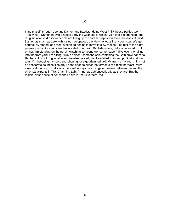I find myself, through Lee and Damon and Baptiste, doing West Philly house parties too. That winter, Damon throws a house party the wildness of which I've never experienced. The drug situation is drastic— people are lining up to shoot H. Baptiste is there (he doesn't mind Damon as much as Lee) with a stout, voluptuous blonde who looks like a porn star. We get righteously stoned, and then everything begins to move in slow motion. The rest of the night passes me by like a movie— I'm in a dark room with Baptiste's date, but too paranoid to hit on her; I'm standing on the porch, watching someone (for some reason) dive over the railing into the front yard; I'm sitting ("like a spider," someone said) watching the Goth crew dance to Bauhaus; I'm noticing what everyone else noticed, that Lee failed to show up. Finally, at four a.m., I'm betraying my roots and phoning for a goddamned taxi. My truth is my truth— I'm not as desperate as these kids are. I don't need to suffer the torments of hitting the West Philly streets at four a.m. That's why there will always be an edge of unease between me and the other participants in This Charming Lab. I'm not as authentically city as they are. But the middle-class sense of self-worth I have is useful to them, too.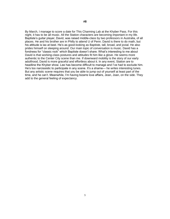By March, I manage to score a date for This Charming Lab at the Khyber Pass. For this night, it has to be all music. All the Station characters are becoming important in my life. Baptiste's guitar player, David, was raised middle-class by two professors in Australia, of all places. He and his brother are in Philly to attend U of Penn. David is there to do math, but his attitude is lax at best. He's as good-looking as Baptiste, tall, broad, and jovial. He also prides himself on sleeping around. Our main topic of conversation is music. David has a fondness for "classic rock" which Baptiste doesn't share. What's interesting to me about David is that working-class postures and attitudes fit him like a glove. He seems more authentic to the Center City scene than me. If downward mobility is the story of our early adulthood, David is more graceful and effortless about it. In any event, Station are to headline the Khyber show. Lee has become difficult to manage and I've had to exclude him. He's too narcissistic to participate in any scene. It's a shame— he writes interesting tunes. But any artistic scene requires that you be able to jump out of yourself at least part of the time, and he can't. Meanwhile, I'm having bizarre love affairs, Jean, Joan, on the side. They add to the general feeling of expectancy.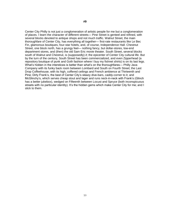Center City Philly is not just a conglomeration of artistic people for me but a conglomeration of places. I learn the character of different streets— Pine Street is genteel and refined, with several blocks devoted to antique shops and not much traffic. Walnut Street, the main thoroughfare of Center City, has everything all together— first-rate restaurants like Le Bec Fin, glamorous boutiques, four-star hotels, and, of course, Independence Hall. Chestnut Street, one block north, has a grungy feel— nothing fancy, but dollar-stores, low-end department stores, and (then) the old Sam Eric movie theater. South Street, several blocks south of Walnut and Chestnut, is (supposedly) *it*; the epicenter of Center City cultural life. But by the turn of the century, South Street has been commercialized, and even Zipperhead (a repository boutique of punk and Goth fashion where I buy my fishnet shirts) is on its last legs. What's hidden in the interstices is better than what's on the thoroughfares— Philly Java Company with its funky back room between Lombard and South on Fourth Street; the Last Drop Coffeehouse, with its high, coffered ceilings and French ambience at Thirteenth and Pine; Dirty Frank's, the best of Center City's sleazy dive-bars, caddy-corner to it; and McGlinchy's, which serves cheap stout and lager and runs neck-in-neck with Frank's (Glinch has a better jukebox), wedged on Fifteenth between Locust and Spruce (both inconspicuous streets with no particular identity). It's the hidden gems which make Center City for me; and I stick to them.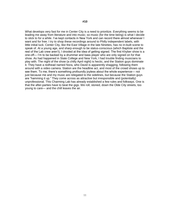What develops very fast for me in Center City is a need to prioritize. Everything seems to be leading me away from literature and into music; so music (for the time being) is what I decide to stick to for a while. I've kept contacts in New York and can record there almost whenever I want and for free. I try to shop these recordings around to Philly independent labels, with little initial luck. Center City, like the East Village in the late Nineties, has no in-built scene to speak of. At a young age, and sharp enough to be status-conscious (which Baptiste and the rest of the Lab crew aren't), I drooled at the idea of getting signed. The first Khyber show is a one-off— I'm to be backed by a drummer and bass player who are only signed on for that show. As had happened in State College and New York, I had trouble finding musicians to play with. The night of the show (a chilly April night) is hectic, and the Station guys dominate it. They have a redhead named Nora, who David is apparently shagging, following them around with a video camera. Station are the headline act, and most of the crowd shows up to see them. To me, there's something profoundly joyless about the whole experience— not just because me and my music are relegated to the sidelines, but because the Station guys are "hamming it up." They come across as attractive but irresponsible and (potentially) unprofessional. This Charming Lab has already established a few rules and folkways. One is that the after-parties have to beat the gigs. We roll, stoned, down the Olde City streets, too young to care— and the chill leaves the air.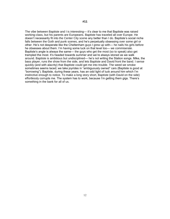The vibe between Baptiste and I is interesting— it's clear to me that Baptiste was raised working-class, but his parents are Europeans. Baptiste has traveled all over Europe. He doesn't necessarily fit into the Center City scene any better than I do. Baptiste's social niche falls between the Goth and punk scenes, and he's perpetually obsessing over some girl or other. He's not desperate like the Cheltenham guys I grew up with— he nails his girls before he obsesses about them. I'm having some luck on that level too— we commiserate. Baptiste's angle is always the same— the guys who get the most (so to speak) also get trampled the most. It's headed towards summer and we're always stoned as we walk around. Baptiste is ambitious but undisciplined— he's not writing the Station songs. Mike, the bass player, runs the show from the side, and lets Baptiste and David front the band. I sense quickly (and with alacrity) that Baptiste could get me into trouble. The weed we smoke sometimes seems laced; we take joyrides in "ambiguously owned" cars (Baptiste is good at "borrowing"). Baptiste, during these years, has an odd light of luck around him which I'm instinctive enough to notice. To make a long story short, Baptiste (with David on the side) effortlessly corrupts me. The system has to work, because I'm getting them gigs. There's something in the bank for all of us.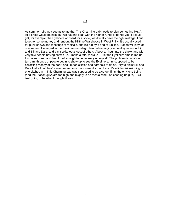As summer rolls in, it seems to me that This Charming Lab needs to plan something big. A little press would be nice, but we haven't dealt with the higher rungs of bands yet. If I could get, for example, the Eyeliners onboard for a show, we'd finally have the right wattage. I put together some money and rent out the Killtime Warehouse in West Philly. It's usually used for punk shows and meetings of radicals, and it's run by a ring of junkies. Station will play, of course, and I've roped in the Eyeliners (an all-girl band who do girly schmaltzy indie-punk), and Bill and Dara, and a miscellaneous cast of others. About an hour into the show, and with very few people having shown up, I make a fatal mistake— I let the Eyeliners smoke me up. It's potent weed and I'm blitzed enough to begin enjoying myself. The problem is, at about ten p.m. throngs of people begin to show up to see the Eyeliners. I'm supposed to be collecting money at the door, and I'm too skittish and paranoid to do so. I try to enlist Bill and Dara to do it but they're even more non compos mentis than I am. It's a little disillusioning no one pitches in— This Charming Lab was supposed to be a co-op. If I'm the only one trying (and the Station guys are too high and mighty to do menial work, off chatting up girls), TCL isn't going to be what I thought it was.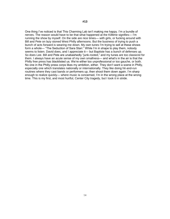One thing I've noticed is that This Charming Lab isn't making me happy. I'm a bundle of nerves. The reason would have to be that what happened at the Killtime signifies— I'm running the show by myself. On the side are nice times— with girls, or fucking around with Bill and Pete on lazy stoned West Philly afternoons. But the business of trying to push a bunch of acts forward is wearing me down. My own tunes I'm trying to sell at these shows form a whole— "The Seduction of Sara Starr." While I'm in shape to play them, nobody seems to listen. David does, and I appreciate it— but Baptiste has a bunch of defenses up. So does Lee. Bill and Pete are unabashedly "junk-rooted," and my tunes are too classicist for them. I always have an acute sense of my own smallness— and what's in the air is that the Philly free press has blacklisted us. We're either too unprofessional or too gauche, or both. No one in the Philly press corps likes my ambition, either. They don't want a scene in Philly, especially one which translates nationally or internationally. They like doing hit-and-run routines where they cast bands or performers up, then shoot them down again. I'm sharp enough to realize quickly— where music is concerned, I'm in the wrong place at the wrong time. This is my first, and most hurtful, Center City tragedy, but I took it in stride.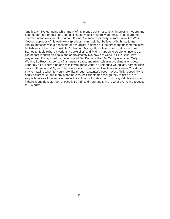One branch I've got going which many of my friends don't notice is an interest in modern and post-modern art. By this time, I'm fascinated by post-modernity generally, and I learn the charmed names— Warhol, Nauman, Koons. Nauman, especially, attracts me— the West Coast creepiness of his early work (product, I can't help but believe, of high marijuana intake), matched with a penchant for absurdism, balance out the direct and uncompromising brutishness of the East Coast life I'm leading. My nightly routine, when I get home from Barnes & Noble (where I work as a bookseller) and when I happen to be alone, involves a pile of post-modern art books and approximately two bowls of weed. If I like Basquiat's playfulness, I'm repulsed by the vacuity of Jeff Koons; if Paul McCarthy is a bit too Willy Wonka, Ed Ruscha's sense of language, space, and minimalism in two dimensions gets under my skin. There's no one to talk with about visual art yet; but a young lady named Trish works with me at B & N, and I have my eyes on her. When I walk around Center City stoned, I try to imagine what life would look like through a painter's eyes— West Philly, especially, is oddly picturesque, and many of the houses (half-dilapidated though they might be) are exquisite, is as all the architecture in Philly. I can still walk around with a good clean buzz on; if there is any danger, I don't notice it. For Bill and Pete and I, this is what everything reduces to— a buzz.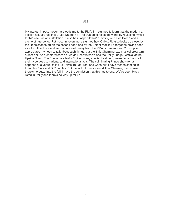My interest in post-modern art leads me to the PMA. I'm stunned to learn that the modern art section actually has in it Bruce Nauman's "The true artist helps the world by revealing mystic truths" neon as an installation. It also has Jasper Johns' "Painting with Two Balls," and a cache of late-period Rothkos. I'm even more stunned how Cubist Picasso looks up close; by the Renaissance art on the second floor; and by the Calder mobile I'd forgotten having seen as a kid. That I live a fifteen-minute walk away from the PMA is tremendous. Christopher appreciates my need to talk about such things, but the This Charming Lab musical crew turn a deaf ear. As summer wears on, we do Doc Watson's and the Philly Fringe Festival at the Upside Down. The Fringe people don't give us any special treatment; we're "local," and all their hype goes to national and international acts. The culminating Fringe show for us happens at a venue called La Tazza 108 at Front and Chestnut. I have friends coming in from New York and D.C. to play. But the lack of press around This Charming Lab shows; there's no buzz. Into the fall, I have the conviction that this has to end. We've been blacklisted in Philly and there's no way up for us.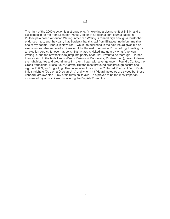The night of the 2000 election is a strange one. I'm working a closing shift at B & N, and a call comes in for me from Elizabeth Yankel, editor of a regional print journal based in Philadelphia called American Writing. American Writing is ranked high enough (Christopher endorses it too, and they carry it at Borders) that this call from Elizabeth (to inform me that one of my poems, "Icarus in New York," would be published in the next issue) gives me an almost unbearable sense of exhilaration. Like the rest of America, I'm up all night waiting for an election verdict. It never happens. But my ass is kicked into gear by what American Writing is, and the new task is to jump into poetry head-first. I want to be thorough— rather than sticking to the texts I know (Beats, Bukowski, Baudelaire, Rimbaud, etc), I want to learn the right histories and ground myself in them. I start with a vengeance— Pound's Cantos, the Greek tragedians, Eliot's Four Quartets. But the most profound breakthrough occurs one night at B & N, as I'm goofing off— on impulse, I pick up the Collected Poems of John Keats. I flip straight to "Ode on a Grecian Urn," and when I hit "Heard melodies are sweet, but those unheard/ are sweeter…" my brain turns on its axis. This proves to be the most important moment of my artistic life— discovering the English Romantics.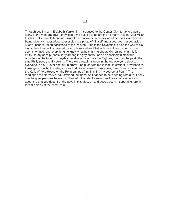Through dealing with Elizabeth Yankel, I'm introduced to the Center City literary old guard. Many of the men are gay; if they scope me out, it's to determine if I mean "action." Joe Miller fits this profile; an old friend of Elizabeth's who lives in a duplex apartment at Seventh and Bainbridge. His most prized possession is a photo of himself and a bearded, bespectacled Allen Ginsberg, taken backstage at the Painted Bride in the Seventies. It's on the wall of his study; the other wall is covered by long bookshelves filled with recent poetry books. Joe seems to have read everything; to know what he's talking about. His real penchant is for Philly literary gossip (particularly among the gay poets), and he considers himself the raconteur of the tribe. His heyday, he always says, was the Eighties; that was the peak, the time Philly poetry really swung. There were readings every night and everyone slept with everyone. It's all (I later find out) blarney. The hitch with me is that I'm straight. Nevertheless, I arrange a bunch of readings for us to do together— at bookstores, music venues, even at the Kelly Writers House on the Penn campus (I'm finishing my degree at Penn.) The readings are half-festive, half-strained; but because I happen to be sleeping with girls, I deny Joe the gossip-angles he wants. Elizabeth, I'm later to learn, has the same reservations about me that Joe does. For the gays in this tribe, art and gossip seem inseparable; are, in fact, flip sides of the same coin.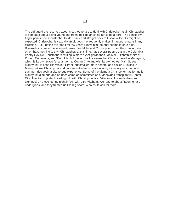The old guard are reserved about me; they refuse to deal with Christopher at all. Christopher is pompous about being young and fresh; he'll do anything not to be a bore. The sensibility finger points from Christopher to Morrissey and straight back to Oscar Wilde. As might be expected, Christopher is sexually ambiguous; he frequently makes flirtatious remarks in my direction. But, I notice over the first few years I know him, he only seems to date girls. Bisexuality is one of his adopted poses. Joe Miller and Christopher, when they run into each other, have nothing to say. Christopher, at this time, has several poems out in the Columbia Poetry Review. Christopher's writing is more avant-garde than Joe's or Elizabeth's; bits of Pound, Cummings, and "Pop" kitsch. I never lose the sense that Chris is based in Manayunk, which is its own place (at a tangent to Center City) and with its own ethos. Main Street, Manayunk, is posh like Walnut Street, but smaller, more sedate, and cozier. Drinking in Manayunk (as Christopher and I are wont to do) is peaceful and, especially in spring and summer, decidedly a glamorous experience. Some of the glamour Christopher has for me is Manayunk glamour, and he does come off sometimes as a Manayunk transplant in Center City. The first important reading I do with Christopher is at Villanova University (he's an alumnus) on a cool spring night in '01, with J.R. Mitchum. We read to about fifteen female undergrads, and they treated us like big-shots. Who could ask for more?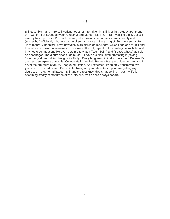Bill Rosenblum and I are still working together intermittently. Bill lives in a studio apartment on Twenty-First Street between Chestnut and Market. It's filthy— Bill lives like a pig. But Bill already has a primitive Pro Tools set-up, which means he can record me cheaply and (somewhat) efficiently. I have a cache of songs I wrote in the spring of '96— folk songs, for us to record. One thing I have now also is an album on mp3.com, which I can add to. Bill and I maintain our own routine— record, smoke a little pot, repeat. Bill's infinitely distractible, and I try not to be impatient. He even gets me to watch "Adult Swim" and "Space Ghost," as I did as a teenager. The album doesn't do much— I have a difficult time promoting it (having "offed" myself from doing live gigs in Philly). Everything feels liminal to me except Penn— it's the new centerpiece of my life. College Hall, Van Pelt, Bennett Hall are golden for me; and I covet the armature of an Ivy League education. As I expected, Penn only transferred two years worth of credits from Penn State. Now, in my mid-twenties, I prioritize getting my degree. Christopher, Elizabeth, Bill, and the rest know this is happening— but my life is becoming strictly compartmentalized into bits, which don't always cohere.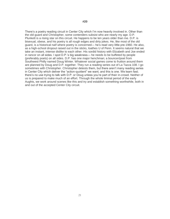There's a poetry reading circuit in Center City which I'm now heavily involved in. Other than the old guard and Christopher, some contenders subsist who are nearly my age. D.P. Plunkett is a rising star on this circuit. He happens to be ten years older than me. D.P. is bisexual, obese, and his poetry is all rough edges and dirty jokes. He, like most of the old guard, is a historical naïf where poetry is concerned— he's read very little pre-1960. He also, as a high-school dropout raised out in the sticks, loathes U of Penn. It seems natural that we take an instant, intense dislike to each other. His sordid history with Elizabeth and Joe ended in rancor on all sides. I spot D.P.'s big weakness— he needs to be buffeted by people (preferably poets) on all sides. D.P. has one major henchman; a bouncer/poet from Southwest Philly named Doug Winter. Whatever social games come to fruition around them are planned by Doug and D.P. together. They run a reading series out of La Tazza 108. I go sometimes with Christopher. Christopher detests them, but there aren't many reading series in Center City which deliver the "action-quotient" we want, and this is one. We learn fast; there's no use trying to talk with D.P. or Doug unless you're part of their in-crowd. Neither of us is prepared to make much of an effort. Through the whole liminal period of the early Aughts, we work around scenes like this and try and establish something worthwhile, both in and out of the accepted Center City circuit.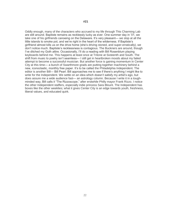Oddly enough, many of the characters who accrued to my life through This Charming Lab are still around. Baptiste remains as recklessly lucky as ever. One summer day in '01, we take one of his girlfriends canoeing on the Delaware. It's very pleasant— we stop at all the little islands to smoke pot, and we're right in the heart of the wilderness. If Baptiste's girlfriend almost kills us on the drive home (she's driving stoned, and super-erratically), we don't notice much. Baptiste's recklessness is contagious. The Buckners are around, though I've ditched my Goth attire. Occasionally, I'll do a reading with Bill Rosenblum playing keyboards behind me. This happens at least once at Tritone at Sixteenth and South. The shift from music to poetry isn't seamless— I still get in heartbroken moods about my failed attempt to become a successful musician. But another force is gaining momentum in Center City at this time— a bunch of Swarthmore grads are putting together machinery behind a new, iconoclastic, monthly free paper. It's to be called the Philadelphia Independent. The editor is another Bill— Bill Pearl. Bill approaches me to see if there's anything I might like to write for the Independent. We settle on an idea which doesn't satisfy my artist's ego, but does assure me a wide audience fast— an astrology column. Because I write it in a toughminded way, Bill calls it "The Rizzoscope," after erstwhile Philly mayor Frank Rizzo. I notice the other Independent staffers, especially indie princess Sara Blount. The Independent has boxes like the other weeklies; what it gives Center City is an edge towards youth, freshness, liberal values, and educated quirk.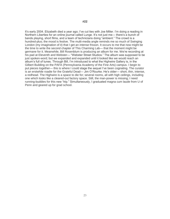It's early 2004. Elizabeth died a year ago; I've cut ties with Joe Miller. I'm doing a reading in Northern Liberties for an online journal called Lunge. It's not just me— there's a bunch of bands playing, short films, and a team of technicians doing "ambient." The crowd is a hundred-plus; the mood is festive. The multi-media angle reminds me so much of Swinging London (my imagination of it) that I get an intense frisson. It occurs to me that now might be the time to write the second chapter of This Charming Lab— that the moment might be germane for it. Meanwhile, Bill Rosenblum is producing an album for me. We're recording at his pad at Eleventh and Webster— "Webster Street Studios." The album was supposed to be just spoken-word; but we expanded and expanded until it looked like we would reach an album's full of tunes. Through Bill, I'm introduced to what the Highwire Gallery is, in the Gilbert Building on the PAFA (Pennsylvania Academy of the Fine Arts) campus. I begin to put pieces together— this is where I could stage the sequel I've been cognating. The curator is an erstwhile roadie for the Grateful Dead— Jim O'Rourke. He's older— short, thin, intense, a redhead. The Highwire is a space to die for; several rooms, all with high ceilings, including one which looks like a cleared-out factory space. Still, the man-power is missing; I need running-buddies for this new "trip." Simultaneously, I graduated magna cum laude from U of Penn and geared up for grad school.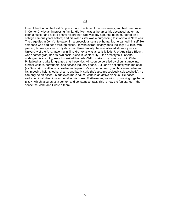I met John Rind at the Last Drop at around this time. John was twenty, and had been raised in Center City by an interesting family. His Mom was a therapist; his deceased father had been a hustler and a card-shark; his brother, who was my age, had been murdered on a college campus years before; and his older sister was a burgeoning fashionista in New York. The tragedies in John's life gave him a precocious sense of humanity; he carried himself like someone who had been through crises. He was extraordinarily good-looking: 6'3, thin, with piercing brown eyes and curly dark hair. Providentially, he was also artistic— a junior at University of the Arts, majoring in film. His nexus was all artistic kids. U of Arts (Sara Blount was another grad) has its own social niche in Center City— the archetypal U of Arts undergrad is a snotty, sexy, know-it-all brat who WILL make it, by hook or crook. Older Philadelphians take for granted that these kids will soon be derailed by circumstance into eternal waiters, bartenders, and service-industry goons. But John's not snotty with me at all (as Sara is). His attitude is flexible and open. He's also a damned good hustler— between his imposing height, looks, charm, and barfly style (he's also precociously sub-alcoholic), he can only be an asset. To add even more sauce, John is an active bisexual. He oozes seduction in all directions out of all of his pores. Furthermore, we wind up working together at B & N, which assures us a context and constant contact. This is how the fun started— the sense that John and I were a team.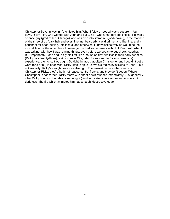Christopher Severin was in. I'd enlisted him. What I felt we needed was a square— four guys. Ricky Flint, who worked with John and I at B & N, was a half-obvious choice. He was a science guy (grad of U of Chicago) who was also into literature; good-looking, in the manner of the three of us (dark hair and eyes; like me, bearded); a wild drinker and libertine; and a penchant for head-butting, intellectual and otherwise. I knew instinctively he would be the most difficult of the other three to manage. He had some issues with U of Penn; with what I was writing; with how I was running things, even before we began to put shows together. But, importantly, John and Ricky hit it off like a house on fire; two kids in their early twenties (Ricky was twenty-three), solidly Center City, rabid for new (or, in Ricky's case, any) experience; their circuit was tight. So tight, in fact, that often Christopher and I couldn't get a word (or a drink) in edgewise. Ricky likes to spite us two old fogies by sticking to John— but not sexually. Ricky's straightness was also tight. The tensest circuit in the square is Christopher-Ricky; they're both hotheaded control freaks, and they don't get on. Where Christopher is concerned, Ricky starts with shoot-down routines immediately. Just generally, what Ricky brings to the table is some light (vivid, educated intelligence) and a whole lot of darkness. The fire which animates him has a harsh, destructive edge.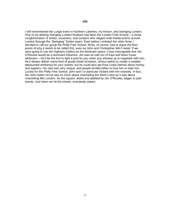I still remembered the Lunge event in Northern Liberties, my frisson, and Swinging London. One of my abiding Swinging London fixations had been the London Free School— a loose conglomeration of artists, musicians, and curators who staged multi-media events around London through the "Swinging" Sixties years. Even before I enlisted the other three, I decided to call our group the Philly Free School. Ricky, of course, had to argue the finer points of why it needs to be called this, even as John and Christopher didn't resist. If we were going to use the Highwire Gallery as the dominant space, it was inescapable that Jim O'Rourke would be a dominant influence. Jim was an odd mix of East and West Coast attributes— he'd be the first to light a joint for you when you showed up to negotiate with him; he'd always deliver some kind of goods (hash brownies, nitrous tanks) to create a suitably debauched ambience for your events; but he could also get East Coast intense about money and logistics. His vibe was very unique, and people tended either to love him or hate him. Luckily for the Philly Free School, John and I in particular clicked with him instantly. In fact, the John-Adam circuit was as much about channeling the West Coast as it was about channeling 60s London. So the square, aided and abetted by Jim O'Rourke, began to plan events. And when we hit the streets, everybody stared.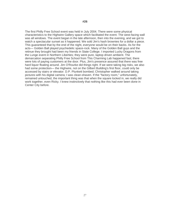The first Philly Free School event was held in July 2004. There were some physical characteristics to the Highwire Gallery space which facilitated the event. The west-facing wall was all windows. The event began in the late afternoon, then into the evening, and we got to watch a spectacular sunset as it happened. We sold Jim's hash brownies for a dollar a piece. This guaranteed that by the end of the night, everyone would be on their backs. As for the acts— Golden Ball played psychedelic space-rock. Many of the Golden Ball guys and the retinue they brought had been my friends in State College. I imported Lucky Dragons from the Lunge event in Northern Liberties; they were pure, laptop driven ambient. The demarcation separating Philly Free School from This Charming Lab happened fast; there were lots of paying customers at the door. Plus, Jim's presence assured that there was free hard liquor floating around. Jim O'Rourke did things right. If we were taking big risks, we also had some protection— the Highwire, not on the Gilbert Building's first floor, could only be accessed by stairs or elevator. D.P. Plunkett bombed; Christopher walked around taking pictures with his digital camera; I was clean-shaven. If the "factory room," unfortunately, remained untouched, the important thing was that when the square locked in, we really did work together, even Ricky. I knew instinctively that nothing like this had ever been done in Center City before.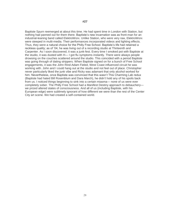Baptiste Spurn reemerged at about this time. He had spent time in London with Station, but nothing had panned out for them there. Baptiste's new incarnation was as front-man for an industrial-leaning band called ElektroWorx. Unlike Station, who were very raw, ElektroWorx were steeped in multi-media. Their performances incorporated videos and lighting effects. Thus, they were a natural choice for the Philly Free School. Baptiste's life had retained a reckless quality; as of '04, he was living out of a recording studio at Thirteenth and Carpenter. As I soon discovered, it was a junk-fest. Every time I smoked pot with Baptiste at the studio, it was dusted with H— I got flu symptoms instantly. There were always people drowsing on the couches scattered around the studio. This coincided with a period Baptiste was going through of dating strippers. When Baptiste signed on for a bunch of Free School engagements, it was the John Rind-Adam Fieled, West Coast influenced circuit he was working with. John and I could hang out at the studio and not feel out of place. Christopher never particularly liked the junk vibe and Ricky was adamant that only alcohol worked for him. Nevertheless, once Baptiste was convinced that this wasn't This Charming Lab redux (Baptiste had hated Bill Rosenblum and Dara March), he didn't hold any of his spoils back from us. I noticed things beginning to sink into a certain miasma— none of us were ever completely sober. The Philly Free School had a Manifest Destiny approach to debauchery we prized altered states of consciousness. And all of us (including Baptiste, with his European edge) were sublimely ignorant of how different we were than the rest of the Center City art scene. We had created a self-contained world.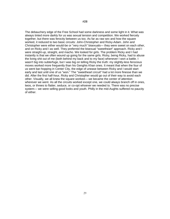The debauchery edge of the Free School had some darkness and some light in it. What was always tinted more darkly for us was sexual tension and competition. We worked fiercely together, but there was ferocity between us too. As far as raw sex and how the square worked, it reduced to two basic circuits: John-Christopher and Ricky-Adam. John and Christopher were either would-be or "very much" bisexuals— they were sweet on each other, and on Ricky and I as well. They preferred the bisexual "sweetheart" approach. Ricky and I were straight-up, straight, and macho. We looked for girls. The problem Ricky and I had instantly is that we often wound up going for the same girls. Ricky, being Ricky, had to abuse the living shit out of me (both behind my back and to my face) whenever I won a battle. I wasn't big into subterfuge, but I was big on telling Ricky the truth: my slightly-less ferocious moves worked more frequently than his Genghis Khan ones. It meant that when the four of us went bar-hopping in Center City, the edge of unease between Ricky and I would start early and last until one of us "won." The "sweetheart circuit" had a lot more finesse than we did. After the first half-hour, Ricky and Christopher would go out of their way to avoid each other. Visually, we all knew the square worked— we became the center of attention wherever we went. As all the circuits worked except one, we could always branch off in ones, twos, or threes to flatter, seduce, or co-opt whoever we needed to. There was no precise system— we were selling good looks and youth. Philly in the mid-Aughts suffered no paucity of either.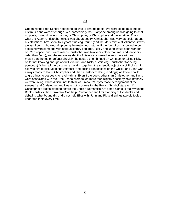One thing the Free School needed to do was to chat up poets. We were doing multi-media; just musicians weren't enough. We learned very fast; if anyone among us was going to chat up poets, it would have to be me, or Christopher, or Christopher and me together. That's what the Adam-Christopher circuit was about: poetry. Christopher was very particular about his affiliations; he'd spent four years studying Pound (and the Modernists) at Villanova; it was always Pound who wound up being the major touchstone. If the four of us happened to be speaking with someone with serious literary pedigree, Ricky and John would soon wander off. Christopher and I were older (Christopher was two years older than me, and ten years older than John), and the necessary depth of historical knowledge was there with us. It meant that the major defunct circuit in the square often hinged on Christopher telling Ricky off for not knowing enough about literature (and Ricky dismissing Christopher for being pompous). When all the parts were working together, the scientific objectivity of Ricky's mind allowed him to pick up things very fast (and oozing condescension the while); and John was always ready to learn. Christopher and I had a history of doing readings; we knew how to angle things to get poets to read with us. Even if the poets other than Christopher and I who were associated with the Free School were taken more than slightly aback by how intensely we were living. It was difficult not to think of Rimbaud's "systematic derangement of the senses," and Christopher and I were both suckers for the French Symbolists, even if Christopher's tastes stopped before the English Romantics. On some nights, it really was the Book Nerds vs. the Drinkers— God help Christopher and I for stopping at five drinks and debating what Pound did or did not help Eliot with; John and Ricky drank us two old fogies under the table every time.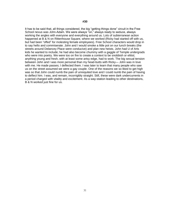It has to be said that, all things considered, the big "getting things done" circuit in the Free School nexus was John-Adam. We were always "on," always ready to seduce, always working the angles with everyone and everything around us. Lots of subterranean action happened at B & N on Rittenhouse Square, where we worked (Ricky had started off with us, but had been "offed" for molesting female employees). Free School characters would drop in to say hello and commiserate. John and I would smoke a little pot on our lunch breaks (the streets around Delancey Place were conducive) and plan new heists. John had U of Arts kids he wanted to include; he had also become chummy with a gaggle of Temple undergrads who were into poetry. We were too on fire to create a context to be snobbish or elitist; anything young and fresh, with at least some artsy edge, had to work. The big sexual tension between John and I was more personal than my head-butts with Ricky— John was in love with me. He made passes; I deflected them. I was later to learn that many people who saw us on the street assumed we were a gay couple. One of the reasons we so liked to get high was so that John could numb the pain of unrequited love and I could numb the pain of having to deflect him. I was, and remain, incorrigibly straight. Still, these were dark undercurrents in a period charged with vitality and excitement. As a way-station leading to other destinations, B & N worked just fine for us.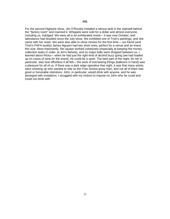For the second Highwire show, Jim O'Rourke installed a nitrous tank in the stairwell behind the "factory room" and manned it. Whippets were sold for a dollar and almost everyone, including us, indulged. We were all in an exhilarated mood— it was now October, and attendance had doubled since the July show. We exhibited one of Trish's paintings, and she came with her sister. We were also able to show movies for the first time— our friend (and Trish's PAFA buddy) James Nguyen had two short ones, perfect for a venue and an event this size. Most importantly, the square worked cohesively (especially at keeping the money collection tasks in order, at Jim's behest), and no major balls were dropped between us. I learned about Ricky— when he had just the right kind of alcohol buzz going (we had loaded up on cases of wine for the event), he could be a sport. The best part of the night, for me in particular, was how effortless it all felt— the work of overseeing things (balloons in hand) was a pleasure for all of us. If there was a dark edge operative that night, it was that many artists were showing up who wanted to ride on the Free School gravy train, and not all of them had good or honorable intentions. John, in particular, would drink with anyone, and he was besieged with invitations. I struggled with my instinct to impose on John who he could and could not drink with.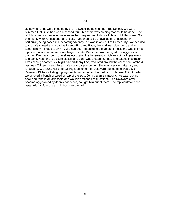By now, all of us were infected by the freewheeling spirit of the Free School. We were bummed that Bush had won a second term; but there was nothing that could be done. One of John's many chance acquaintances had bequeathed to him a little acid blotter sheet. So, one night, when Christopher and Ricky happened to be unavailable (Christopher in particular, being based in Roxborough/Manayunk, was in and out of Center City), we decided to trip. We started at my pad at Twenty-First and Race; the acid was slow-burn, and took about ninety minutes to sink in. We had been listening to the ambient music the whole time; it passed in front of me as something concrete. We somehow managed to stagger over to the Last Drop, and found ourselves occupying the basement, which was dimly lit (as ever) and dank. Neither of us could sit still, and John was stuttering. I had a fortuitous inspiration— I was seeing another B & N girl named Jenny Lee, who lived around the corner on Lombard between Thirteenth and Broad. We could drop in on her. She was a stoner, after all, and forbearing. We found her entertaining a bunch of her Delaware friends (she was a U of Delaware BFA), including a gorgeous brunette named Erin. At first, John was OK. But when we smoked a bunch of weed on top of the acid, John became catatonic. He was rocking back and forth in an armchair, and wouldn't respond to questions. The Delaware crew became aggravated by John's bad vibes, so I got him out of there. The trip would've been better with all four of us on it, but what the hell.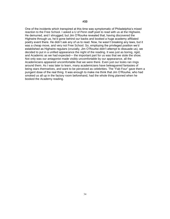One of the incidents which transpired at this time was symptomatic of Philadelphia's mixed reaction to the Free School. I asked a U of Penn staff poet to read with us at the Highwire. He demurred, and I shrugged; but Jim O'Rourke revealed that, having discovered the Highwire through us, he'd gone behind our backs and booked a huge academy affiliated poetry event there. He didn't ask any of us to read. Now, he wasn't breaking any laws, but it was a cheap move, and very not Free School. So, employing the privileged position we'd established as Highwire regulars (crucially, Jim O'Rourke didn't attempt to dissuade us), we decided to put in a unified appearance the night of the reading. It was just as boring, rigid, and Academic as we had expected— the important part for us was that we stole the show. Not only was our antagonist made visibly uncomfortable by our appearance, all the Academicians appeared uncomfortable that we were there. Even just our looks ran rings around them. As I was later to learn, many academicians have beleaguered fantasies of being stars themselves, and want to be perceived as celebrities. The "Fab Four" gave them a pungent dose of the real thing. It was enough to make me think that Jim O'Rourke, who had smoked us all up in the factory room beforehand, had the whole thing planned when he booked the Academy reading.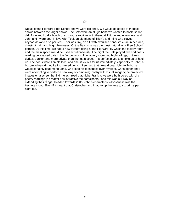Not all of the Highwire Free School shows were big ones. We would do series of modest shows between the larger shows. The Bats were an all-girl band we wanted to book, so we did. John and I did a bunch of schmooze routines with them, at Tritone and elsewhere, and John and I were both in love with Tobi, an old friend of Trish's and mine who played keyboards (and also painted). Tobi was tiny, an elf, with exquisite bone-structure in her face, chestnut hair, and bright blue eyes. Of the Bats, she was the most natural as a Free School person. By this time, we had a new system going at the Highwire, by which the factory room and the main space would be used simultaneously. The night the Bats played, we had poets reading on a raised dais in the factory room. The factory room had high ceilings, but was darker, danker, and more private than the main space— a perfect place to smoke up or hook up. The poets were Temple kids, and one stuck out for us immediately, especially to John; a buxom, olive-skinned Latino named Lena. If I sensed that I would beat John to Tobi, he would certainly beat me to Lena, who liked his looseness over my rigor. Christopher and I were attempting to perfect a new way of combining poetry with visual imagery; he projected images on a screen behind me as I read that night. Frankly, we were both bored with dry poetry readings (no matter how attractive the participants), and this was our way of extending their range. Headed towards 2005, John's characteristic looseness was the keynote mood. Even if it meant that Christopher and I had to up the ante to six drinks per night out.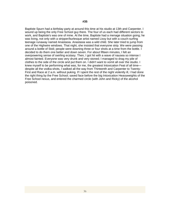Baptiste Spurn had a birthday party at around this time at his studio at 13th and Carpenter. I wound up being the only Free School guy there. The four of us each had different sectors to work, and Baptiste's was one of mine. At the time, Baptiste had a menage situation going; he was living, not only with a stripper/burlesque artist named Lissy but with a couch-surfing teenage runaway named Anastasia. Anastasia was a wild child. She later tried to jump from one of the Highwire windows. That night, she insisted that everyone strip. We were passing around a bottle of Stoli; people were downing three or four shots at a time from the bottle. I decided to do them one better and down seven. For about fifteen minutes, I felt an overpowering sense of swirling ecstasy. Then, I got hit with a wave of nausea so intense I almost fainted. Everyone was very drunk and very stoned; I managed to drag my pile of clothes to the side of the circle and put them on. I didn't want to vomit all over the studio. I knew myself to be performing what was, for me, the greatest Intoxication Feat of all time despite all the vodka-shots, I walked all the way from Thirteenth and Carpenter to Twenty-First and Race at 2 a.m. without puking. If I spent the rest of the night violently ill, I had done the right thing by the Free School; saved face before the big Intoxication Heavyweights of the Free School nexus, and entered the charmed circle (with John and Ricky) of the alcohol poisoned.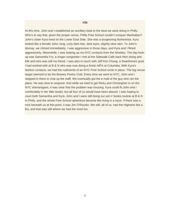#### **#36**

At this time, John and I established an ancillary beat to the beat we were doing in Philly. Who's to say that, given the proper venue, Philly Free School couldn't conquer Manhattan? John's sister Kyra lived on the Lower East Side. She was a burgeoning fashionista. Kyra looked like a female John; long, curly dark hair, dark eyes, slightly olive skin. To John's dismay, we clicked immediately. I was aggressive in those days, and Kyra and I flirted aggressively. Meanwhile, I was looking up my NYC contacts from the Nineties. The big hookup was Samantha Fry, a singer-songwriter I met at the Sidewalk Cafe back then doing antifolk and who was still my friend. I was also in touch with Jeff Kim Chung, a Swarthmore grad I had worked with at B & N who was now doing a fiction MFA at Columbia. With Kyra's fashion contacts, we had the rudiments of an NYC Free School circle in place. The big venue target seemed to be the Bowery Poetry Club. Every time we went to NYC, John and I stopped in there to chat up the staff. We eventually got the e-mail of the guy who ran the place. He was slow to respond. And while we tried to get Ricky and Christopher in on the NYC shenanigans, it was clear that the problem was housing. Kyra could fit John and I comfortably in her little studio; but all four of us would have been absurd. I was hoping to court both Samantha and Kyra. John and I were still doing our pot n' books routine at B & N in Philly, and the whole Free School adventure became like living in a haze. If there was a rock beneath us at this point, it was Jim O'Rourke. We still, all of us, had the Highwire like a fist, and that was still where we had the most fun.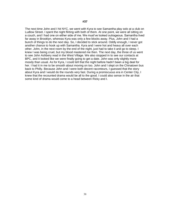The next time John and I hit NYC, we went with Kyra to see Samantha play solo at a club on Ludlow Street. I spent the night flirting with both of them. At one point, we were all sitting on a couch, and I had one on either side of me. We must've looked outrageous. Samantha lived far away in Brooklyn, whereas Kyra was only a few blocks away. Plus, John and I had a bunch of things to do the next day. So, I decided to stick around. Oddly enough, I never got another chance to hook up with Samantha. Kyra and I were hot and heavy all over each other. John, in the next room by the end of the night, just had to take it and go to sleep. I knew I was being cruel, but my blood mastered me then. The next day, the three of us went to see John Ashbery read in the West Village. We also stopped in to see our contacts at BPC, and it looked like we were finally going to get a date. John was only slightly more moody than usual. As for Kyra, I could tell that the night before hadn't been a big deal for her. I had it in me to be smooth about moving on too. John and I slept on the Chinatown bus back to Philly. Because John and I were both decent raconteurs, I guessed that the story about Kyra and I would do the rounds very fast. During a promiscuous era in Center City, I knew that the recounted drama would be all to the good. I could also sense in the air that some kind of drama would come to a head between Ricky and I.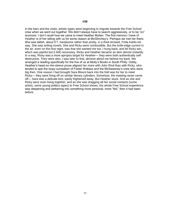In the bars and the clubs, artistic types were beginning to migrate towards the Free School crew when we went out together. We didn't always have to search aggressively, or to be "on" anymore. I don't recall how we came to meet Heather Mullen. The first memory I have of Heather is of her sitting with us for some reason at McGlinchey's. Perhaps we met her there. She was tallish, about 5'7, handsome rather than pretty, in a thick-browed, Frida Kahlo-ish way. She was writing novels. She and Ricky were combustible. But the knife-edge current in the air, even on this first night, was that she wanted me too. I hung back, and let Ricky win, which was painful but (I felt) necessary. Ricky and Heather became an item almost instantly. In a way, Ricky was a more apropos target for Heather— they were both authentically selfdestructive. They were also, I was later to find, derisive about me behind my back. We arranged a reading specifically for the five of us at Molly's Books in South Philly. Oddly, Heather's heart-on-the-sleeve prose aligned her more with John Rind than with Ricky, who tended to ape the loopy surrealism of Foster Wallace and the McSweeney's crew who were big then. One reason I had brought Sara Blount back into the fold was for her to meet Ricky— they were firing off on similar literary cylinders. Somehow, the meeting never came off— Sara was a delicate bird, easily frightened away. But Heather stuck. And as she and Ricky were soon living together, and as she was dragging all her social contacts (some artists, some young politico types) to Free School shows, the whole Free School experience was deepening and darkening into something more personal, more "felt," then it had been before.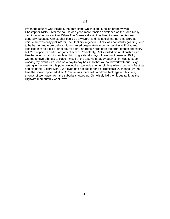When the square was initiated, the only circuit which didn't function properly was Christopher-Ricky. Over the course of a year, more tension developed as the John-Ricky circuit became more active. When The Drinkers drank, they liked to take the piss just generally; because Christopher could be awkward, and his social mannerisms were so unique, he was easy pickins' for The Drinkers in general. Ricky was constantly goading John to be harder and more callous; John wanted desperately to be impressive to Ricky, and idealized him as a big brother figure; both The Book Nerds bore the brunt of their chemistry, but Christopher in particular got victimized. Predictably, Ricky lorded his relationship with Heather over us, and it stimulated him to greater displays of rambunctiousness. Ricky wanted to invert things; to place himself at the top. My strategy against him was to keep working my circuit with John on a day-to-day basis, so that we could work without Ricky getting in the way. At this point, we worked towards another big Highwire show, with Baptiste and his band (ElektroWorx). We even had a place for one of Baptiste's DJ friends. By the time the show happened, Jim O'Rourke was there with a nitrous tank again. This time, throngs of teenagers from the suburbs showed up. Jim wisely hid the nitrous tank, as the Highwire momentarily went "rave."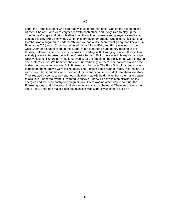Lena, the Temple student who had read with us more than once, was on the scene quite a bit then. She and John were very tender with each other, and Ricky liked to play up the "double date" angle and bring Heather in on the action. I wasn't seeing anyone steadily, and detested feeling like a fifth wheel. When this formation emerged, I would leave. It's just that Heather was a sugar-cube underneath, and we had a little secret pact going, and knew it. By Bloomsday '05 (June 16), we had entered into a full-on affair, and Ricky was out. All the while, John and I had picked up the cudgel to put together a huge poetry reading at the Khyber, patterned after the Poetry Incarnation reading in '65 Swinging London. It wasn't an entirely joyless enterprise, but without Christopher and Ricky there was little espirit de corps. Now we just felt like ordinary hustlers; even if, for the first time, the Philly press were showing some interest in us. We hammed the event up verbosely for them. The darkest cloud on the horizon for me personally was D.P. Plunkett and his crew. The Free School had found ways to upstage them, but we were falling apart. The Plunkett poets read at Poetry Incarnation '05 with many others; but they were morose at the event because we didn't treat them like stars. They reacted by concocting a spurious tale that I had withheld money from them and began to circulate it after the event. If I wanted to survive, I knew I'd have to stop dissipating my energies and focus on poetry in a singular way. There was no other way to conquer the Plunkett goons; and I'd learned that art events are all too ephemeral. There was little in them left to keep. I had one major piece out in Jacket Magazine; it was time to build on it.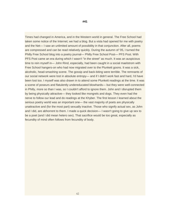Times had changed in America, and in the Western world in general. The Free School had taken some notice of the Internet; we had a blog. But a vista had opened for me with poetry and the Net— I saw an unlimited amount of possibility in that conjunction. After all, poems are compressed and can be read relatively quickly. During the autumn of '05, I turned the Philly Free School blog into a poetry journal— Philly Free School Post— PFS Post. With PFS Post came an era during which I wasn't "in the street" as much. It was an auspicious time to rein myself in— John Rind, especially, had been caught in a social maelstrom with Free School hangers-on who had now migrated over to the Plunkett goons. It was a sick, alcoholic, head-smashing scene. The gossip and back-biting were terrible. The remnants of our social network were lost in absolute entropy— and if I didn't work fast and hard, I'd have been lost too. I myself was also drawn in to attend some Plunkett readings at the time. It was a scene of poseurs and flatulently undereducated blowhards— but they were well-connected in Philly, more so than I was, so I couldn't afford to ignore them. John and I disrupted them by being physically attractive— they looked like mongrels and dogs. They even had the nerve to follow our lead and do readings at the Khyber. The first lesson I learned about the serious poetry world was an important one— the vast majority of poets are physically unattractive and (for the most part) sexually inactive. Those who signify actual sex, as John and I did, are abhorrent to them. I made a quick decision— I wasn't going to give up sex to be a poet (and I did mean hetero sex). That sacrifice would be too great, especially as fecundity of mind often follows from fecundity of body.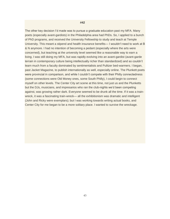#### **#42**

The other key decision I'd made was to pursue a graduate education past my MFA. Many poets (especially avant-gardists) in the Philadelphia area had PhDs. So, I applied to a bunch of PhD programs, and received the University Fellowship to study and teach at Temple University. This meant a stipend and health insurance benefits— I wouldn't need to work at B & N anymore. I had no intention of becoming a pedant (especially where the arts were concerned), but teaching at the university level seemed like a reasonable way to earn a living. I was still doing my MFA, but was rapidly evolving into an avant-gardist (avant-garde terrain in contemporary culture being intellectually richer than standardized) and so couldn't learn much from a faculty dominated by sentimentalists and Pulitzer bed-warmers. I began, past Jacket Magazine, to publish internationally as well, especially online. The Plunkett poets were provincial in comparison, and while I couldn't compete with their Philly connectedness (some connections were Old Money ones, some South Philly), I could begin to connect myself on other levels. The Center City art scene at this time, not just us and the Plunketts but the DJs, musicians, and impresarios who ran the club-nights we'd been competing against, was growing rather dark. Everyone seemed to be drunk all the time. If it was a trainwreck, it was a fascinating train-wreck— all the exhibitionism was dramatic and intelligent (John and Ricky were exemplars); but I was working towards writing actual books, and Center City for me began to be a more solitary place. I wanted to survive the wreckage.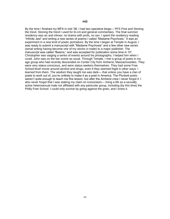By the time I finished my MFA in mid '06, I had two operative blogs— PFS Post and Stoning the Devil. Stoning the Devil I used for lit-crit and general commentary. The final summer residency was an anti-climax; no drama with profs, no sex. I spent the residency reading "Infinite Jest" and writing a new series of poems I called "Madame Psychosis." It was an experiment in a new kind of poetic portraiture. By the time I began at Temple in August, I was ready to submit a manuscript with "Madame Psychosis" and a few other new series (serial writing having become one of my stocks in trade) to a major publisher. The manuscript was called "Beams," and was accepted for publication some time in '07. Christopher was staging a series of events around his photographs; I helped him when I could. John was on the bar scene as usual. Through Temple, I met a group of poets in my age group who had recently descended on Center City from Amherst, Massachusettes. They were very status-conscious, and were status-seekers themselves. They had some Free School-level moxie around alcohol and drugs, even if they seemed frigid in other ways. I learned from them. The wisdom they taught me was dark— that unless you have a clan of poets to work out of, you're unlikely to make it as a poet in America. The Plunkett poets weren't quite enough to teach me this lesson, but after the Amherst crew I never forgot it. I also never forgot that I was staking my claim on iconoclasm— living a life as a sexually active heterosexual male not affiliated with any particular group, including (by this time) the Philly Free School. I could only survive by going against the grain, and I knew it.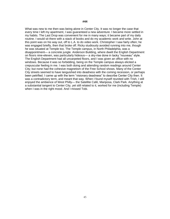What was new to me then was being alone in Center City. It was no longer the case that every time I left my apartment, I was guaranteed a new adventure. I became more settled in my habits. The Last Drop was convenient for me in many ways; it became part of my daily routine. I would sit there with a stack of books and do my academic work and write. John at this point was on his way out, off to L.A. to do video work. Christopher I saw fairly often; he was engaged briefly, then that broke off. Ricky studiously avoided running into me, though he was situated at Temple too. The Temple campus, in North Philadelphia, was a disappointment— a concrete jungle. Anderson Building, where dwelt the English Department on floors nine-eleven, was particularly hideous— a sky-rise done in tacky "nouveau" style. The English Department had all uncarpeted floors, and I was given an office with no windows. Because it was so forbidding, being on the Temple campus always elicited a crepuscular feeling in me. I was both doing and attending random readings around Center City; but none had the cohesive magnetism of the Free School shows. Many of the Center City streets seemed to have languished into deadness with the coming recession, or perhaps been petrified. I came up with the term "visionary deadness" to describe Center City then. It was a contradictory term, and meant that way. When I found myself reunited with Trish, I still enjoyed the ambience of West Philly— the Satellite Café, Mariposa, Clark Park. Anything at a substantial tangent to Center City, yet still related to it, worked for me (including Temple) when I was in the right mood. And I missed Tobi.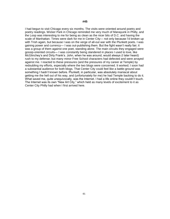I had begun to visit Chicago every six months. The visits were oriented around poetry and poetry readings. Wicker Park in Chicago reminded me very much of Manayunk in Philly, and the Loop was interesting to me for being as clean as the nicer bits of D.C. and having the scale of Manhattan. Times were dark for me in Center City— not only because I'd broken up with Trish again, but because I was on the verge of all-out war with the Plunkett poets. I was gaining power and currency— I was out-publishing them. But the fight wasn't really fair; it was a group of them against one poet, standing alone. The main circuits they engaged were gossip-oriented circuits— I was constantly being slandered in places I used to love, like McGlinchey's and Dirty Frank's. John, when he was around, would always (I later heard) rush to my defense; but many minor Free School characters had defected and were arrayed against me. I reacted to these pressures (and the pressures of my career at Temple) by redoubling my efforts, especially where the two blogs were concerned. It worked; I soon had a substantial audience for both blogs. That Center City could feel like a battle-ground was something I hadn't known before. Plunkett, in particular, was absolutely maniacal about getting me the hell out of his way, and (unfortunately for me) he had Temple backing to do it. What saved me, quite unequivocally, was the Internet. I had a life online they couldn't touch. The Internet was its own "New Art City," which held as many levels of excitement to it as Center City Philly had when I first arrived here.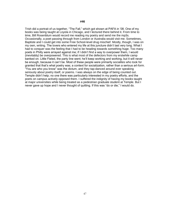Trish did a portrait of us together, "The Fall," which got shown at PAFA in '08. One of my books was being taught at Loyola in Chicago, and I lectured there behind it. From time to time, Bill Rosenblum would record me reading my poetry and send me the mp3s. Occasionally, a poet passing through from London or Australia would visit me. Sometimes, Baptiste and I could get into some Free School-level drug mischief. Mostly, though, I was on my own, writing. The lovers who entered my life at this juncture didn't last very long. What I had to conquer was the feeling that I had to be heading towards something huge. Too many poets in Philly were arrayed against me; if I didn't find a way to overpower them, I would (inevitably) be overpowered. This is what most of the defectors from my erstwhile camp banked on. Little Fieled, the party line went; he'll keep working and working, but it will never be enough, because it can't be. Most of these people were primarily socialites who took for granted that that's what poetry was; a context for socialization, rather than a serious art-form. "You are who you know" was the dictum, and they tap-danced around ever speaking seriously about poetry itself, or poems. I was always on the edge of being counted out. Temple didn't help; no one there was particularly interested in my poetry efforts, and the poets on campus actively opposed them. I suffered the indignity of having my books taught at major universities while being treated as a pedestrian graduate student at Temple. But I never gave up hope and I never thought of quitting. If this was "do or die," I would do.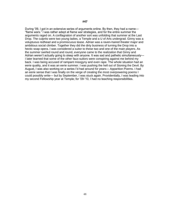During '09, I got in an extensive series of arguments online. By then, they had a name— "flame wars." I was rather adept at flame war strategies, and for the entire summer the arguments raged on. A conflagration of another sort was unfolding that summer at the Last Drop. The culprits were two young ladies, a Temple and a U of Arts undergrad. Ginny was a voluptuous redhead and a promiscuous tease. Adrian was a raven-haired theater major and ambitious social climber. Together they did the dirty business of turning the Drop into a hectic soap opera. I was considered a suitor to these two and one of the main players. As the summer swirled round and round, everyone came to the realization that Ginny and Adrian weren't actually going to sleep with anyone. It was sad and pathetic simultaneously— I later learned that some of the other faux-suitors were conspiring against me behind my back. I was being accused of rampant misogyny and even rape. The whole situation had an eerie quality, and it was an eerie summer. I was pushing the hell out of Stoning the Devil. By August, I was also working on a series I'd had around for years— Apparition Poems. I had an eerie sense that I was finally on the verge of creating the most overpowering poems I could possibly write— but by September, I was stuck again. Providentially, I was leading into my second Fellowship year at Temple; for '09-'10, I had no teaching responsibilities.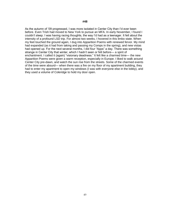As the autumn of '09 progressed, I was more isolated in Center City than I'd ever been before. Even Trish had moved to New York to pursue an MFA. In early November, I found I couldn't sleep. I was having racing thoughts, the way I'd had as a teenager. It felt about the intensity of a profound LSD trip. For almost two weeks, I hovered in this limbo state. When my feet touched the ground again, I dug into Apparition Poems with renewed fervor. My mind had expanded (as it had from taking and passing my Comps in the spring), and new vistas had opened up. For the next several months, I did four "Apps" a day. There was something strange in Center City that winter, which I hadn't seen or felt before— a spirit of enchantment. I called it (again) "visionary deadness." It felt like a charmed time— the new Apparition Poems were given a warm reception, especially in Europe. I liked to walk around Center City pre-dawn, and watch the sun rise from the streets. Some of the charmed events of the time were absurd— when there was a fire on my floor of my apartment building, they had to enter my apartment to open my windows (I was with everyone else in the lobby), and they used a volume of Coleridge to hold my door open.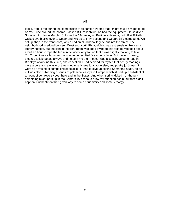It occurred to me during the composition of Apparition Poems that I might make a video to go on YouTube around the poems. I asked Bill Rosenblum; he had the equipment. He said yes. So, one mild day in March '10, I took the #34 trolley up Baltimore Avenue, got off at Fiftieth, walked two blocks over to Cedar and two up to Fifty-Second and Cedar, Bill's compound. We set up shop in the front room, which had an all-window façade out into the street. The neighborhood, wedged between West and North Philadelphia, was extremely unlikely as a literary hotspot, but the light in the front room was good owing to this façade. We took about a half an hour to tape the ten minute video, only to find that it was slightly too long to fit on YouTube. It was a bummer that was to be rectified five months later. But we took it easy, smoked a little pot as always and he sent me the m-peg. I was also scheduled to read in Brooklyn at around this time, and cancelled. I had decided for myself that poetry readings were a bore and a waste of time— no one listens to anyone else, and poetry just doesn't work as any kind of compelling spectacle. If I had to give up seeing Samantha again, so be it. I was also publishing a series of polemical essays in Europe which stirred up a substantial amount of controversy both here and in the States. And when spring kicked in, I thought something might perk up in the Center City scene to draw my attention again, but that didn't happen. Enchantment had given way to some equanimity and some lethargy.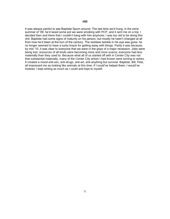It was always painful to see Baptiste Spurn around. The last time we'd hung, in the eerie summer of '09, he'd laced some pot we were smoking with PCP, and it sent me on a trip. I decided then and there that I couldn't hang with him anymore; I was too old to be doing this shit. Baptiste had some signs of maturity on his person, but mostly he hadn't changed at all from how he'd been at the turn of the century. The reckless twinkle in his eye was gone; he no longer seemed to have a lucky knack for getting away with things. Partly it was because, by mid '10, it was clear to everyone that we were in the grips of a major recession. Jobs were being lost; resources of all kinds were becoming more and more scarce; everyone had less materially than they used to. Because what all of us started off with in Center City was not that substantial materially, many of the Center City artists I had known were turning to ashes. It created a mood anti-sex, anti-drugs, anti-art, anti-anything but survival. Baptiste, Bill, Pete, all impressed me as looking like animals at this time; if I could've helped them, I would've. Instead, I kept writing as much as I could and kept to myself.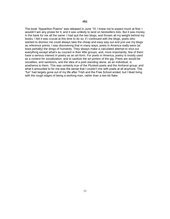The book "Apparition Poems" was released in June '10. I knew not to expect much at first; I wouldn't win any prizes for it, and it was unlikely to land on bestsellers lists. But it was money in the bank for me all the same. I had quit the two blogs, and thrown all my weight behind my books. I felt it was crucial at this time to do so; if I continued with the blogs, poets who wanted to dismiss me could always take the cheap and easy way out and just use my blogs as reference points. I was discovering that in many ways, poets in America really were (at least partially) the dregs of humanity. They always make a calculated attempt to shut out everything except what's au courant in their little groups; and, more importantly, few of them have a serious interest in poetry as an art-form. For poets in America, poetry is mostly used as a context for socialization, and to sanitize the art portion of the gig. Poets are would-be socialites, and sanitizers, and the idea of a poet standing alone, as an individual, is anathema to them. This was certainly true of the Plunkett poets and the Amherst group; and what it amounted to for me was the sense that I couldn't mix with poets at all anymore. The "fun" had largely gone out of my life after Trish and the Free School ended; but I liked living with the rough edges of being a working man, rather than a two-bit flake.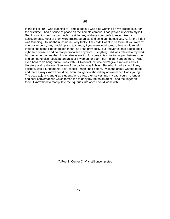In the fall of '10, I was teaching at Temple again. I was also working on my prospectus. For the first time, I had a sense of peace on the Temple campus. I had proven myself to myself. God knows, it would be too much to ask for any of these sour profs to recognize my achievements. Most of them were frustrated artists and scholars themselves. As for the kids I was teaching, I found them, as usual, very tricky. They didn't want to be there. If you weren't rigorous enough, they would rip you to shreds; if you were too rigorous, they would rebel. I tried to find some kind of golden mean, as I had previously, but I never felt that I quite got it right. In a sense, I had no real personal life anymore. Everything I did was related to my work by one tangent or another. It was always waiting for some chiasmus to happen between me and someone else (could be an artist or a woman, or both), but it didn't happen then. It was even hard to do hang-out routines with Bill Rosenblum, who didn't give a rat's ass about literature and really wasn't aware of the battle I was fighting. But what I had earned, in my solitude, was a fundamental self-respect I hadn't had before. I was the artist I wanted to be, and that I always knew I could be, even though few shared my opinion when I was young. The bozo adjuncts and grad students who threw themselves into my path could no longer engineer conversations which forced me to deny my life as an artist. I had the finger on them. I knew how to manipulate their queries into ones I could work with.

\*\*\*"A Poet in Center City" is still uncompleted\*\*\*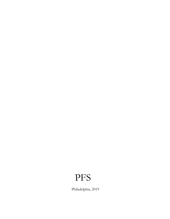## PFS

Philadelphia, 2019